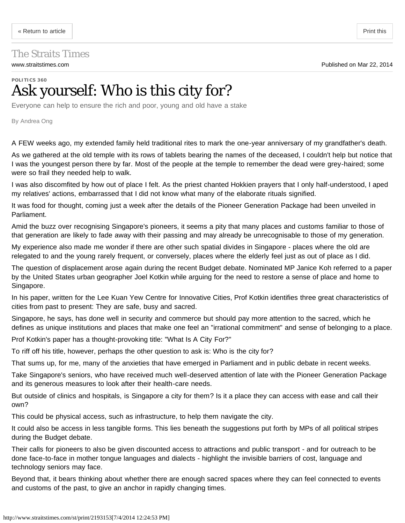## <span id="page-0-0"></span>The Straits Times

## **POLITICS 360** Ask yourself: Who is this city for?

Everyone can help to ensure the rich and poor, young and old have a stake

By Andrea Ong

A FEW weeks ago, my extended family held traditional rites to mark the one-year anniversary of my grandfather's death.

As we gathered at the old temple with its rows of tablets bearing the names of the deceased, I couldn't help but notice that I was the youngest person there by far. Most of the people at the temple to remember the dead were grey-haired; some were so frail they needed help to walk.

I was also discomfited by how out of place I felt. As the priest chanted Hokkien prayers that I only half-understood, I aped my relatives' actions, embarrassed that I did not know what many of the elaborate rituals signified.

It was food for thought, coming just a week after the details of the Pioneer Generation Package had been unveiled in Parliament.

Amid the buzz over recognising Singapore's pioneers, it seems a pity that many places and customs familiar to those of that generation are likely to fade away with their passing and may already be unrecognisable to those of my generation.

My experience also made me wonder if there are other such spatial divides in Singapore - places where the old are relegated to and the young rarely frequent, or conversely, places where the elderly feel just as out of place as I did.

The question of displacement arose again during the recent Budget debate. Nominated MP Janice Koh referred to a paper by the United States urban geographer Joel Kotkin while arguing for the need to restore a sense of place and home to Singapore.

In his paper, written for the Lee Kuan Yew Centre for Innovative Cities, Prof Kotkin identifies three great characteristics of cities from past to present: They are safe, busy and sacred.

Singapore, he says, has done well in security and commerce but should pay more attention to the sacred, which he defines as unique institutions and places that make one feel an "irrational commitment" and sense of belonging to a place.

Prof Kotkin's paper has a thought-provoking title: "What Is A City For?"

To riff off his title, however, perhaps the other question to ask is: Who is the city for?

That sums up, for me, many of the anxieties that have emerged in Parliament and in public debate in recent weeks.

Take Singapore's seniors, who have received much well-deserved attention of late with the Pioneer Generation Package and its generous measures to look after their health-care needs.

But outside of clinics and hospitals, is Singapore a city for them? Is it a place they can access with ease and call their own?

This could be physical access, such as infrastructure, to help them navigate the city.

It could also be access in less tangible forms. This lies beneath the suggestions put forth by MPs of all political stripes during the Budget debate.

Their calls for pioneers to also be given discounted access to attractions and public transport - and for outreach to be done face-to-face in mother tongue languages and dialects - highlight the invisible barriers of cost, language and technology seniors may face.

Beyond that, it bears thinking about whether there are enough sacred spaces where they can feel connected to events and customs of the past, to give an anchor in rapidly changing times.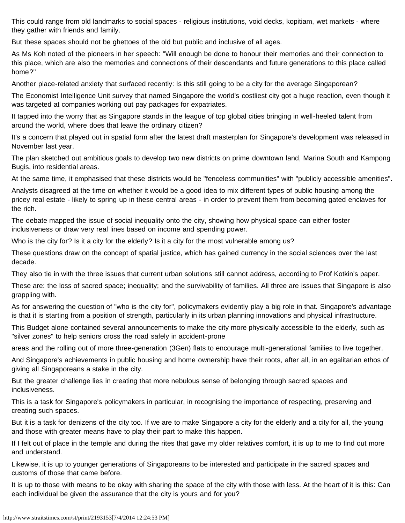This could range from old landmarks to social spaces - religious institutions, void decks, kopitiam, wet markets - where they gather with friends and family.

But these spaces should not be ghettoes of the old but public and inclusive of all ages.

As Ms Koh noted of the pioneers in her speech: "Will enough be done to honour their memories and their connection to this place, which are also the memories and connections of their descendants and future generations to this place called home?"

Another place-related anxiety that surfaced recently: Is this still going to be a city for the average Singaporean?

The Economist Intelligence Unit survey that named Singapore the world's costliest city got a huge reaction, even though it was targeted at companies working out pay packages for expatriates.

It tapped into the worry that as Singapore stands in the league of top global cities bringing in well-heeled talent from around the world, where does that leave the ordinary citizen?

It's a concern that played out in spatial form after the latest draft masterplan for Singapore's development was released in November last year.

The plan sketched out ambitious goals to develop two new districts on prime downtown land, Marina South and Kampong Bugis, into residential areas.

At the same time, it emphasised that these districts would be "fenceless communities" with "publicly accessible amenities".

Analysts disagreed at the time on whether it would be a good idea to mix different types of public housing among the pricey real estate - likely to spring up in these central areas - in order to prevent them from becoming gated enclaves for the rich.

The debate mapped the issue of social inequality onto the city, showing how physical space can either foster inclusiveness or draw very real lines based on income and spending power.

Who is the city for? Is it a city for the elderly? Is it a city for the most vulnerable among us?

These questions draw on the concept of spatial justice, which has gained currency in the social sciences over the last decade.

They also tie in with the three issues that current urban solutions still cannot address, according to Prof Kotkin's paper.

These are: the loss of sacred space; inequality; and the survivability of families. All three are issues that Singapore is also grappling with.

As for answering the question of "who is the city for", policymakers evidently play a big role in that. Singapore's advantage is that it is starting from a position of strength, particularly in its urban planning innovations and physical infrastructure.

This Budget alone contained several announcements to make the city more physically accessible to the elderly, such as "silver zones" to help seniors cross the road safely in accident-prone

areas and the rolling out of more three-generation (3Gen) flats to encourage multi-generational families to live together.

And Singapore's achievements in public housing and home ownership have their roots, after all, in an egalitarian ethos of giving all Singaporeans a stake in the city.

But the greater challenge lies in creating that more nebulous sense of belonging through sacred spaces and inclusiveness.

This is a task for Singapore's policymakers in particular, in recognising the importance of respecting, preserving and creating such spaces.

But it is a task for denizens of the city too. If we are to make Singapore a city for the elderly and a city for all, the young and those with greater means have to play their part to make this happen.

If I felt out of place in the temple and during the rites that gave my older relatives comfort, it is up to me to find out more and understand.

Likewise, it is up to younger generations of Singaporeans to be interested and participate in the sacred spaces and customs of those that came before.

It is up to those with means to be okay with sharing the space of the city with those with less. At the heart of it is this: Can each individual be given the assurance that the city is yours and for you?